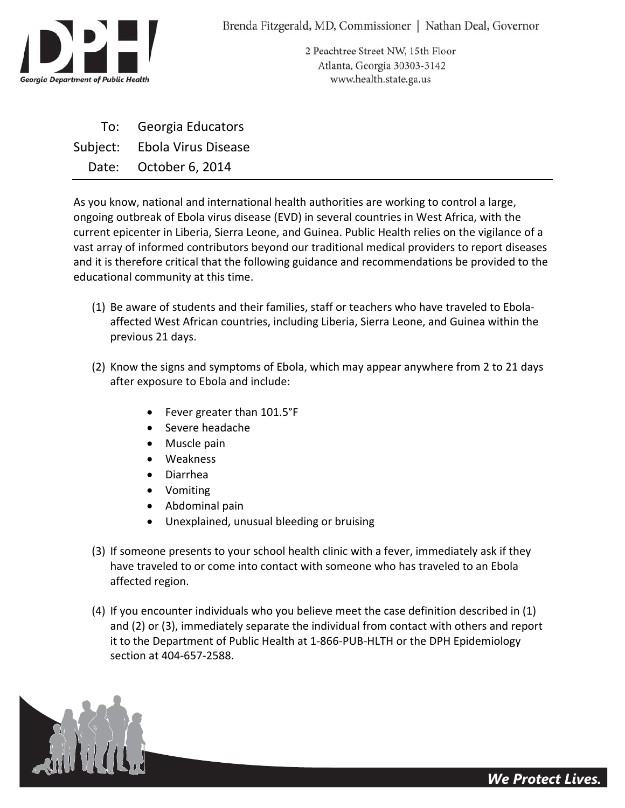

2 Peachtree Street NW, 15th Floor Atlanta, Georgia 30303-3142 www.health.state.ga.us

To: Georgia Educators Subject: Ebola Virus Disease Date: October 6, 2014

As you know, national and international health authorities are working to control a large, ongoing outbreak of Ebola virus disease (EVD) in several countries in West Africa, with the current epicenter in Liberia, Sierra Leone, and Guinea. Public Health relies on the vigilance of a vast array of informed contributors beyond our traditional medical providers to report diseases and it is therefore critical that the following guidance and recommendations be provided to the educational community at this time.

- (1) Be aware of students and their families, staff or teachers who have traveled to Ebola‐ affected West African countries, including Liberia, Sierra Leone, and Guinea within the previous 21 days.
- (2) Know the signs and symptoms of Ebola, which may appear anywhere from 2 to 21 days after exposure to Ebola and include:
	- Fever greater than 101.5°F
	- Severe headache
	- Muscle pain
	- Weakness
	- Diarrhea
	- Vomiting
	- Abdominal pain
	- Unexplained, unusual bleeding or bruising
- (3) If someone presents to your school health clinic with a fever, immediately ask if they have traveled to or come into contact with someone who has traveled to an Ebola affected region.
- (4) If you encounter individuals who you believe meet the case definition described in (1) and (2) or (3), immediately separate the individual from contact with others and report it to the Department of Public Health at 1‐866‐PUB‐HLTH or the DPH Epidemiology section at 404‐657‐2588.